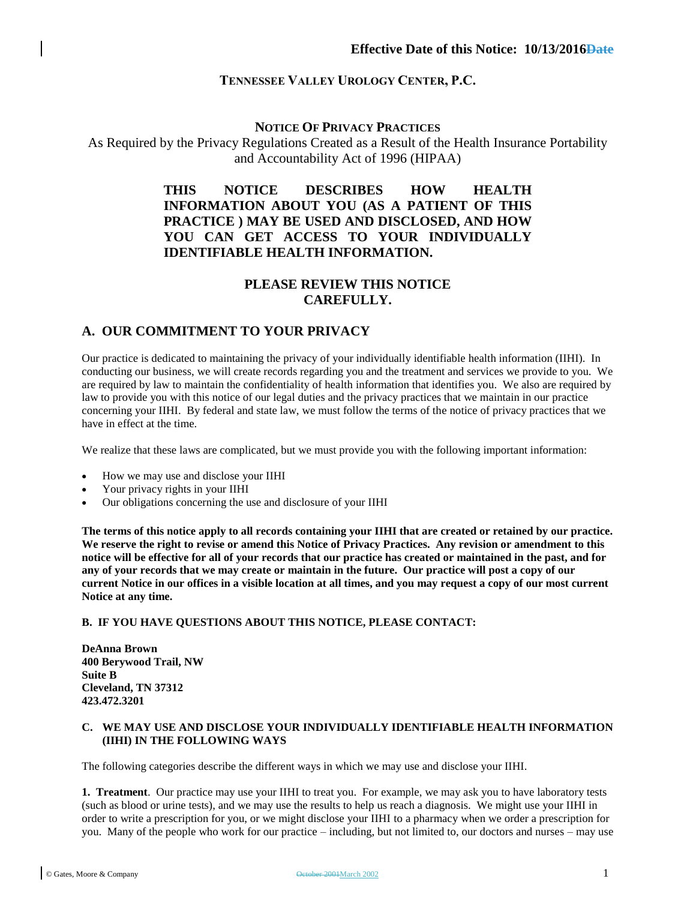## **TENNESSEE VALLEY UROLOGY CENTER, P.C.**

## **NOTICE OF PRIVACY PRACTICES**

As Required by the Privacy Regulations Created as a Result of the Health Insurance Portability and Accountability Act of 1996 (HIPAA)

# **THIS NOTICE DESCRIBES HOW HEALTH INFORMATION ABOUT YOU (AS A PATIENT OF THIS PRACTICE ) MAY BE USED AND DISCLOSED, AND HOW YOU CAN GET ACCESS TO YOUR INDIVIDUALLY IDENTIFIABLE HEALTH INFORMATION.**

# **PLEASE REVIEW THIS NOTICE CAREFULLY.**

# **A. OUR COMMITMENT TO YOUR PRIVACY**

Our practice is dedicated to maintaining the privacy of your individually identifiable health information (IIHI). In conducting our business, we will create records regarding you and the treatment and services we provide to you. We are required by law to maintain the confidentiality of health information that identifies you. We also are required by law to provide you with this notice of our legal duties and the privacy practices that we maintain in our practice concerning your IIHI. By federal and state law, we must follow the terms of the notice of privacy practices that we have in effect at the time.

We realize that these laws are complicated, but we must provide you with the following important information:

- How we may use and disclose your IIHI
- Your privacy rights in your IIHI
- Our obligations concerning the use and disclosure of your IIHI

**The terms of this notice apply to all records containing your IIHI that are created or retained by our practice. We reserve the right to revise or amend this Notice of Privacy Practices. Any revision or amendment to this notice will be effective for all of your records that our practice has created or maintained in the past, and for any of your records that we may create or maintain in the future. Our practice will post a copy of our current Notice in our offices in a visible location at all times, and you may request a copy of our most current Notice at any time.**

## **B. IF YOU HAVE QUESTIONS ABOUT THIS NOTICE, PLEASE CONTACT:**

**DeAnna Brown 400 Berywood Trail, NW Suite B Cleveland, TN 37312 423.472.3201**

#### **C. WE MAY USE AND DISCLOSE YOUR INDIVIDUALLY IDENTIFIABLE HEALTH INFORMATION (IIHI) IN THE FOLLOWING WAYS**

The following categories describe the different ways in which we may use and disclose your IIHI.

**1. Treatment**. Our practice may use your IIHI to treat you. For example, we may ask you to have laboratory tests (such as blood or urine tests), and we may use the results to help us reach a diagnosis. We might use your IIHI in order to write a prescription for you, or we might disclose your IIHI to a pharmacy when we order a prescription for you. Many of the people who work for our practice – including, but not limited to, our doctors and nurses – may use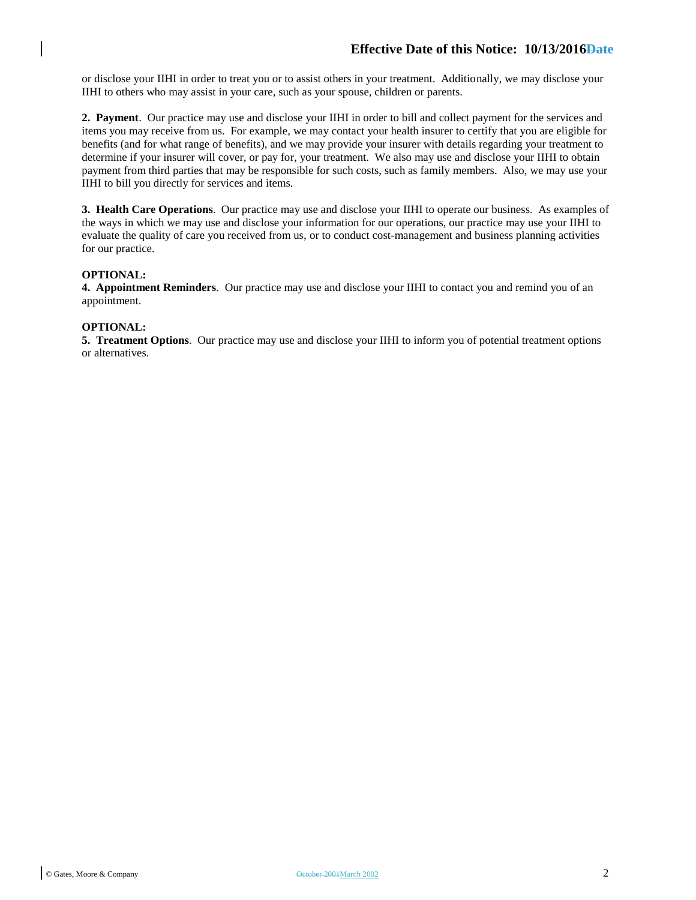or disclose your IIHI in order to treat you or to assist others in your treatment. Additionally, we may disclose your IIHI to others who may assist in your care, such as your spouse, children or parents.

**2. Payment**. Our practice may use and disclose your IIHI in order to bill and collect payment for the services and items you may receive from us. For example, we may contact your health insurer to certify that you are eligible for benefits (and for what range of benefits), and we may provide your insurer with details regarding your treatment to determine if your insurer will cover, or pay for, your treatment. We also may use and disclose your IIHI to obtain payment from third parties that may be responsible for such costs, such as family members. Also, we may use your IIHI to bill you directly for services and items.

**3. Health Care Operations**. Our practice may use and disclose your IIHI to operate our business. As examples of the ways in which we may use and disclose your information for our operations, our practice may use your IIHI to evaluate the quality of care you received from us, or to conduct cost-management and business planning activities for our practice.

## **OPTIONAL:**

**4. Appointment Reminders**. Our practice may use and disclose your IIHI to contact you and remind you of an appointment.

#### **OPTIONAL:**

**5. Treatment Options**. Our practice may use and disclose your IIHI to inform you of potential treatment options or alternatives.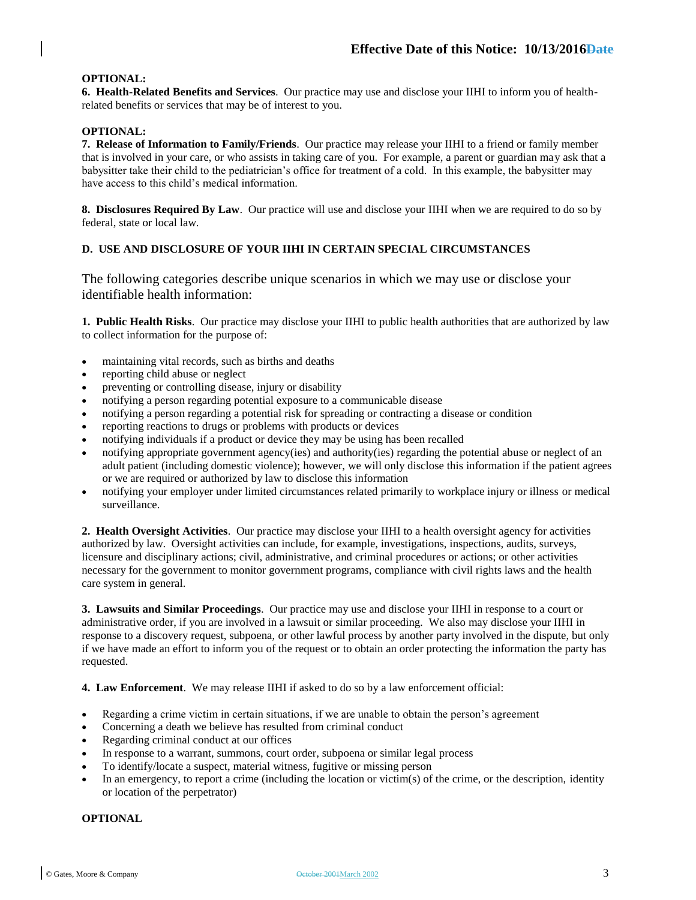## **OPTIONAL:**

**6. Health-Related Benefits and Services**. Our practice may use and disclose your IIHI to inform you of healthrelated benefits or services that may be of interest to you.

## **OPTIONAL:**

**7. Release of Information to Family/Friends**. Our practice may release your IIHI to a friend or family member that is involved in your care, or who assists in taking care of you. For example, a parent or guardian may ask that a babysitter take their child to the pediatrician's office for treatment of a cold. In this example, the babysitter may have access to this child's medical information.

**8. Disclosures Required By Law**. Our practice will use and disclose your IIHI when we are required to do so by federal, state or local law.

## **D. USE AND DISCLOSURE OF YOUR IIHI IN CERTAIN SPECIAL CIRCUMSTANCES**

The following categories describe unique scenarios in which we may use or disclose your identifiable health information:

**1. Public Health Risks**. Our practice may disclose your IIHI to public health authorities that are authorized by law to collect information for the purpose of:

- maintaining vital records, such as births and deaths
- reporting child abuse or neglect
- preventing or controlling disease, injury or disability
- notifying a person regarding potential exposure to a communicable disease
- notifying a person regarding a potential risk for spreading or contracting a disease or condition
- reporting reactions to drugs or problems with products or devices
- notifying individuals if a product or device they may be using has been recalled
- notifying appropriate government agency(ies) and authority(ies) regarding the potential abuse or neglect of an adult patient (including domestic violence); however, we will only disclose this information if the patient agrees or we are required or authorized by law to disclose this information
- notifying your employer under limited circumstances related primarily to workplace injury or illness or medical surveillance.

**2. Health Oversight Activities**. Our practice may disclose your IIHI to a health oversight agency for activities authorized by law. Oversight activities can include, for example, investigations, inspections, audits, surveys, licensure and disciplinary actions; civil, administrative, and criminal procedures or actions; or other activities necessary for the government to monitor government programs, compliance with civil rights laws and the health care system in general.

**3. Lawsuits and Similar Proceedings**. Our practice may use and disclose your IIHI in response to a court or administrative order, if you are involved in a lawsuit or similar proceeding. We also may disclose your IIHI in response to a discovery request, subpoena, or other lawful process by another party involved in the dispute, but only if we have made an effort to inform you of the request or to obtain an order protecting the information the party has requested.

**4. Law Enforcement**. We may release IIHI if asked to do so by a law enforcement official:

- Regarding a crime victim in certain situations, if we are unable to obtain the person's agreement
- Concerning a death we believe has resulted from criminal conduct
- Regarding criminal conduct at our offices
- In response to a warrant, summons, court order, subpoena or similar legal process
- To identify/locate a suspect, material witness, fugitive or missing person
- In an emergency, to report a crime (including the location or victim(s) of the crime, or the description, identity or location of the perpetrator)

## **OPTIONAL**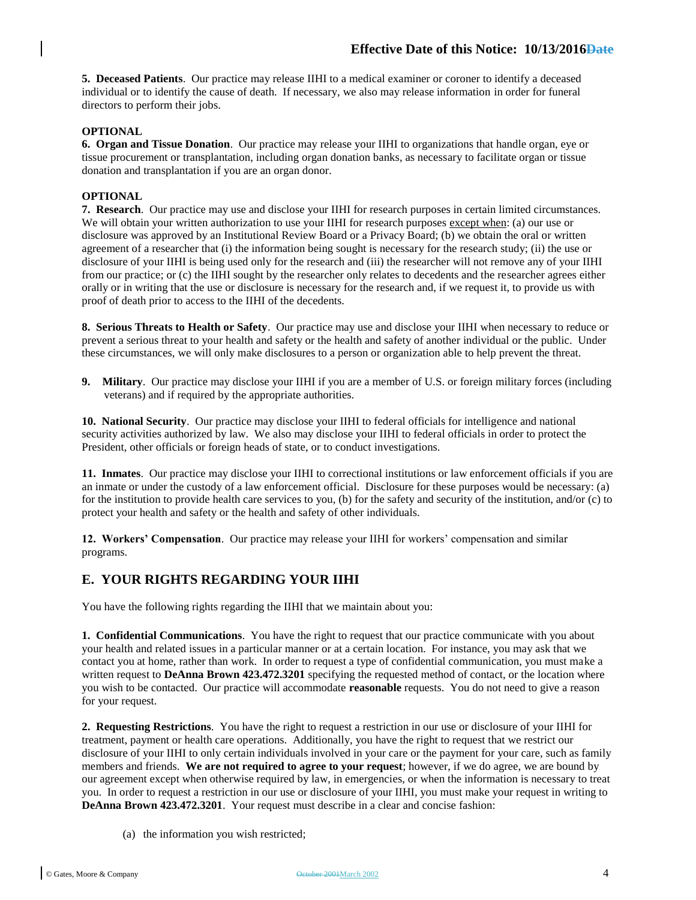**5. Deceased Patients**. Our practice may release IIHI to a medical examiner or coroner to identify a deceased individual or to identify the cause of death. If necessary, we also may release information in order for funeral directors to perform their jobs.

## **OPTIONAL**

**6. Organ and Tissue Donation**. Our practice may release your IIHI to organizations that handle organ, eye or tissue procurement or transplantation, including organ donation banks, as necessary to facilitate organ or tissue donation and transplantation if you are an organ donor.

## **OPTIONAL**

**7. Research**. Our practice may use and disclose your IIHI for research purposes in certain limited circumstances. We will obtain your written authorization to use your IIHI for research purposes except when: (a) our use or disclosure was approved by an Institutional Review Board or a Privacy Board; (b) we obtain the oral or written agreement of a researcher that (i) the information being sought is necessary for the research study; (ii) the use or disclosure of your IIHI is being used only for the research and (iii) the researcher will not remove any of your IIHI from our practice; or (c) the IIHI sought by the researcher only relates to decedents and the researcher agrees either orally or in writing that the use or disclosure is necessary for the research and, if we request it, to provide us with proof of death prior to access to the IIHI of the decedents.

**8. Serious Threats to Health or Safety**. Our practice may use and disclose your IIHI when necessary to reduce or prevent a serious threat to your health and safety or the health and safety of another individual or the public. Under these circumstances, we will only make disclosures to a person or organization able to help prevent the threat.

**9. Military**. Our practice may disclose your IIHI if you are a member of U.S. or foreign military forces (including veterans) and if required by the appropriate authorities.

**10. National Security**. Our practice may disclose your IIHI to federal officials for intelligence and national security activities authorized by law. We also may disclose your IIHI to federal officials in order to protect the President, other officials or foreign heads of state, or to conduct investigations.

**11. Inmates**. Our practice may disclose your IIHI to correctional institutions or law enforcement officials if you are an inmate or under the custody of a law enforcement official. Disclosure for these purposes would be necessary: (a) for the institution to provide health care services to you, (b) for the safety and security of the institution, and/or (c) to protect your health and safety or the health and safety of other individuals.

**12. Workers' Compensation**. Our practice may release your IIHI for workers' compensation and similar programs.

## **E. YOUR RIGHTS REGARDING YOUR IIHI**

You have the following rights regarding the IIHI that we maintain about you:

**1. Confidential Communications**. You have the right to request that our practice communicate with you about your health and related issues in a particular manner or at a certain location. For instance, you may ask that we contact you at home, rather than work. In order to request a type of confidential communication, you must make a written request to **DeAnna Brown 423.472.3201** specifying the requested method of contact, or the location where you wish to be contacted. Our practice will accommodate **reasonable** requests. You do not need to give a reason for your request.

**2. Requesting Restrictions**. You have the right to request a restriction in our use or disclosure of your IIHI for treatment, payment or health care operations. Additionally, you have the right to request that we restrict our disclosure of your IIHI to only certain individuals involved in your care or the payment for your care, such as family members and friends. **We are not required to agree to your request**; however, if we do agree, we are bound by our agreement except when otherwise required by law, in emergencies, or when the information is necessary to treat you. In order to request a restriction in our use or disclosure of your IIHI, you must make your request in writing to **DeAnna Brown 423.472.3201**. Your request must describe in a clear and concise fashion:

(a) the information you wish restricted;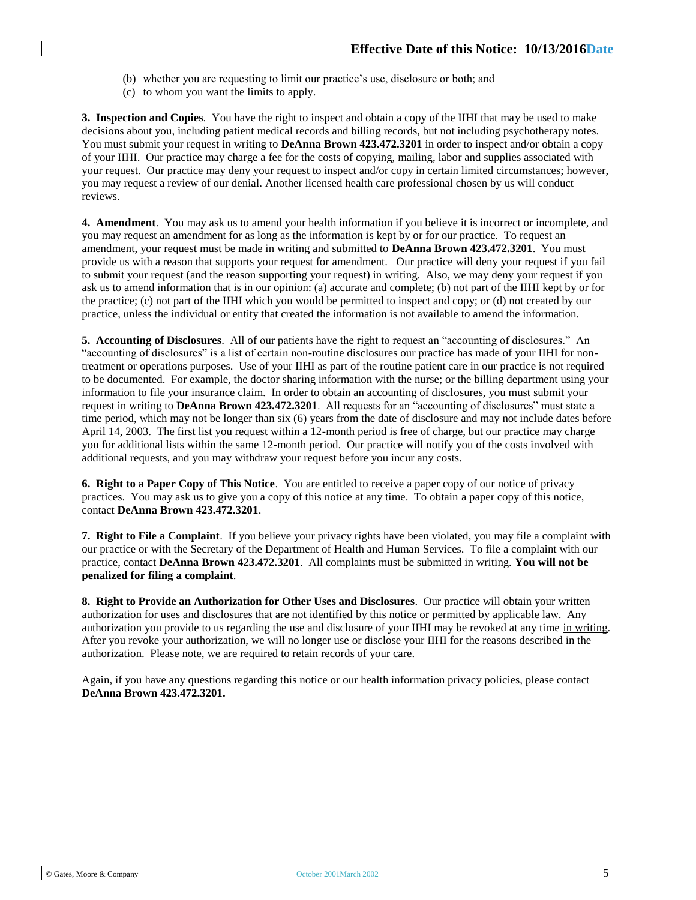- (b) whether you are requesting to limit our practice's use, disclosure or both; and
- (c) to whom you want the limits to apply.

**3. Inspection and Copies**. You have the right to inspect and obtain a copy of the IIHI that may be used to make decisions about you, including patient medical records and billing records, but not including psychotherapy notes. You must submit your request in writing to **DeAnna Brown 423.472.3201** in order to inspect and/or obtain a copy of your IIHI. Our practice may charge a fee for the costs of copying, mailing, labor and supplies associated with your request. Our practice may deny your request to inspect and/or copy in certain limited circumstances; however, you may request a review of our denial. Another licensed health care professional chosen by us will conduct reviews.

**4. Amendment**. You may ask us to amend your health information if you believe it is incorrect or incomplete, and you may request an amendment for as long as the information is kept by or for our practice. To request an amendment, your request must be made in writing and submitted to **DeAnna Brown 423.472.3201**. You must provide us with a reason that supports your request for amendment. Our practice will deny your request if you fail to submit your request (and the reason supporting your request) in writing. Also, we may deny your request if you ask us to amend information that is in our opinion: (a) accurate and complete; (b) not part of the IIHI kept by or for the practice; (c) not part of the IIHI which you would be permitted to inspect and copy; or (d) not created by our practice, unless the individual or entity that created the information is not available to amend the information.

**5. Accounting of Disclosures**. All of our patients have the right to request an "accounting of disclosures." An "accounting of disclosures" is a list of certain non-routine disclosures our practice has made of your IIHI for nontreatment or operations purposes. Use of your IIHI as part of the routine patient care in our practice is not required to be documented. For example, the doctor sharing information with the nurse; or the billing department using your information to file your insurance claim. In order to obtain an accounting of disclosures, you must submit your request in writing to **DeAnna Brown 423.472.3201**. All requests for an "accounting of disclosures" must state a time period, which may not be longer than six (6) years from the date of disclosure and may not include dates before April 14, 2003. The first list you request within a 12-month period is free of charge, but our practice may charge you for additional lists within the same 12-month period. Our practice will notify you of the costs involved with additional requests, and you may withdraw your request before you incur any costs.

**6. Right to a Paper Copy of This Notice**. You are entitled to receive a paper copy of our notice of privacy practices. You may ask us to give you a copy of this notice at any time. To obtain a paper copy of this notice, contact **DeAnna Brown 423.472.3201**.

**7. Right to File a Complaint**. If you believe your privacy rights have been violated, you may file a complaint with our practice or with the Secretary of the Department of Health and Human Services. To file a complaint with our practice, contact **DeAnna Brown 423.472.3201**. All complaints must be submitted in writing. **You will not be penalized for filing a complaint**.

**8. Right to Provide an Authorization for Other Uses and Disclosures**. Our practice will obtain your written authorization for uses and disclosures that are not identified by this notice or permitted by applicable law. Any authorization you provide to us regarding the use and disclosure of your IIHI may be revoked at any time in writing. After you revoke your authorization, we will no longer use or disclose your IIHI for the reasons described in the authorization. Please note, we are required to retain records of your care.

Again, if you have any questions regarding this notice or our health information privacy policies, please contact **DeAnna Brown 423.472.3201.**